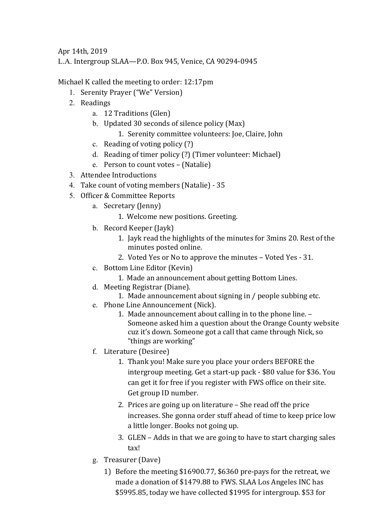Apr 14th, 2019

L.A. Intergroup SLAA—P.O. Box 945, Venice, CA 90294-0945

Michael K called the meeting to order: 12:17pm

- 1. Serenity Prayer ("We" Version)
- 2. Readings
	- a. 12 Traditions (Glen)
	- b. Updated 30 seconds of silence policy (Max)
		- 1. Serenity committee volunteers: Joe, Claire, John
	- c. Reading of voting policy  $(?)$
	- d. Reading of timer policy (?) (Timer volunteer: Michael)
	- e. Person to count votes (Natalie)
- 3. Attendee Introductions
- 4. Take count of voting members (Natalie) 35
- 5. Officer & Committee Reports
	- a. Secretary (Jenny)
		- 1. Welcome new positions. Greeting.
	- b. Record Keeper (Jayk)
		- 1. Jayk read the highlights of the minutes for 3mins 20. Rest of the minutes posted online.
		- 2. Voted Yes or No to approve the minutes Voted Yes 31.
	- c. Bottom Line Editor (Kevin)
		- 1. Made an announcement about getting Bottom Lines.
	- d. Meeting Registrar (Diane).
		- 1. Made announcement about signing in / people subbing etc.
	- e. Phone Line Announcement (Nick).
		- 1. Made announcement about calling in to the phone line. -Someone asked him a question about the Orange County website cuz it's down. Someone got a call that came through Nick, so "things are working"
	- f. Literature (Desiree)
		- 1. Thank you! Make sure you place your orders BEFORE the intergroup meeting. Get a start-up pack - \$80 value for \$36. You can get it for free if you register with FWS office on their site. Get group ID number.
		- 2. Prices are going up on literature  $-$  She read off the price increases. She gonna order stuff ahead of time to keep price low a little longer. Books not going up.
		- 3. GLEN Adds in that we are going to have to start charging sales tax!
	- g. Treasurer (Dave)
		- 1) Before the meeting \$16900.77, \$6360 pre-pays for the retreat, we made a donation of \$1479.88 to FWS. SLAA Los Angeles INC has \$5995.85, today we have collected \$1995 for intergroup. \$53 for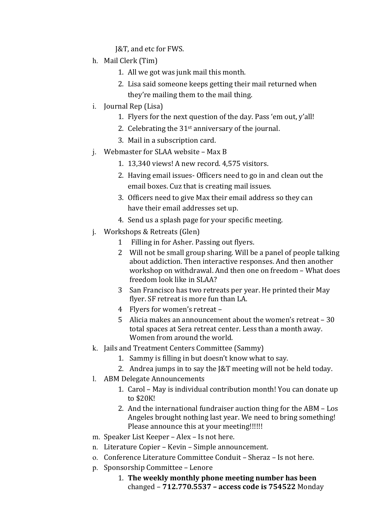J&T, and etc for FWS.

- h. Mail Clerk (Tim)
	- 1. All we got was junk mail this month.
	- 2. Lisa said someone keeps getting their mail returned when they're mailing them to the mail thing.
- i. Journal Rep (Lisa)
	- 1. Flyers for the next question of the day. Pass 'em out, y'all!
	- 2. Celebrating the  $31<sup>st</sup>$  anniversary of the journal.
	- 3. Mail in a subscription card.
- $i.$  Webmaster for SLAA website Max B
	- 1. 13,340 views! A new record. 4,575 visitors.
	- 2. Having email issues- Officers need to go in and clean out the email boxes. Cuz that is creating mail issues.
	- 3. Officers need to give Max their email address so they can have their email addresses set up.
	- 4. Send us a splash page for your specific meeting.
- j. Workshops & Retreats (Glen)
	- 1 Filling in for Asher. Passing out flyers.
	- 2 Will not be small group sharing. Will be a panel of people talking about addiction. Then interactive responses. And then another workshop on withdrawal. And then one on freedom - What does freedom look like in SLAA?
	- 3 San Francisco has two retreats per year. He printed their May flyer. SF retreat is more fun than LA.
	- 4 Flyers for women's retreat -
	- 5 Alicia makes an announcement about the women's retreat  $-30$ total spaces at Sera retreat center. Less than a month away. Women from around the world.
- k. Jails and Treatment Centers Committee (Sammy)
	- 1. Sammy is filling in but doesn't know what to say.
	- 2. Andrea jumps in to say the  $\sqrt{2}$  meeting will not be held today.
- l. ABM Delegate Announcements
	- 1. Carol May is individual contribution month! You can donate up to \$20K!
	- 2. And the international fundraiser auction thing for the ABM Los Angeles brought nothing last year. We need to bring something! Please announce this at your meeting!!!!!!
- m. Speaker List Keeper Alex Is not here.
- n. Literature Copier Kevin Simple announcement.
- o. Conference Literature Committee Conduit Sheraz Is not here.
- p. Sponsorship Committee Lenore
	- 1. The weekly monthly phone meeting number has been changed – **712.770.5537 – access code is 754522** Monday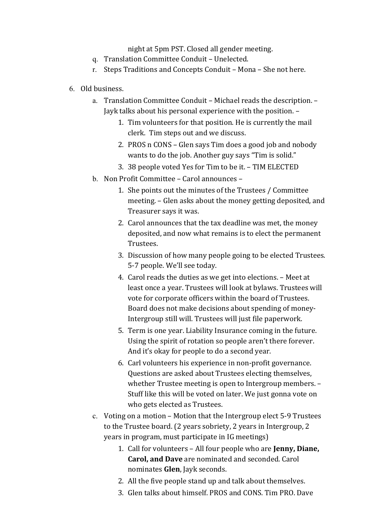night at 5pm PST. Closed all gender meeting.

- q. Translation Committee Conduit Unelected.
- r. Steps Traditions and Concepts Conduit Mona She not here.
- 6. Old business.
	- a. Translation Committee Conduit Michael reads the description. -Jayk talks about his personal experience with the position. -
		- 1. Tim volunteers for that position. He is currently the mail clerk. Tim steps out and we discuss.
		- 2. PROS n CONS Glen says Tim does a good job and nobody wants to do the job. Another guy says "Tim is solid."
		- 3. 38 people voted Yes for Tim to be it. TIM ELECTED
	- b. Non Profit Committee Carol announces
		- 1. She points out the minutes of the Trustees / Committee meeting. - Glen asks about the money getting deposited, and Treasurer says it was.
		- 2. Carol announces that the tax deadline was met, the money deposited, and now what remains is to elect the permanent Trustees.
		- 3. Discussion of how many people going to be elected Trustees. 5-7 people. We'll see today.
		- 4. Carol reads the duties as we get into elections. Meet at least once a year. Trustees will look at bylaws. Trustees will vote for corporate officers within the board of Trustees. Board does not make decisions about spending of money-Intergroup still will. Trustees will just file paperwork.
		- 5. Term is one year. Liability Insurance coming in the future. Using the spirit of rotation so people aren't there forever. And it's okay for people to do a second year.
		- 6. Carl volunteers his experience in non-profit governance. Questions are asked about Trustees electing themselves, whether Trustee meeting is open to Intergroup members. -Stuff like this will be voted on later. We just gonna vote on who gets elected as Trustees.
	- c. Voting on a motion Motion that the Intergroup elect 5-9 Trustees to the Trustee board. (2 years sobriety, 2 years in Intergroup, 2 years in program, must participate in IG meetings)
		- 1. Call for volunteers All four people who are **Jenny, Diane, Carol, and Dave** are nominated and seconded. Carol nominates Glen, Jayk seconds.
		- 2. All the five people stand up and talk about themselves.
		- 3. Glen talks about himself. PROS and CONS. Tim PRO. Dave